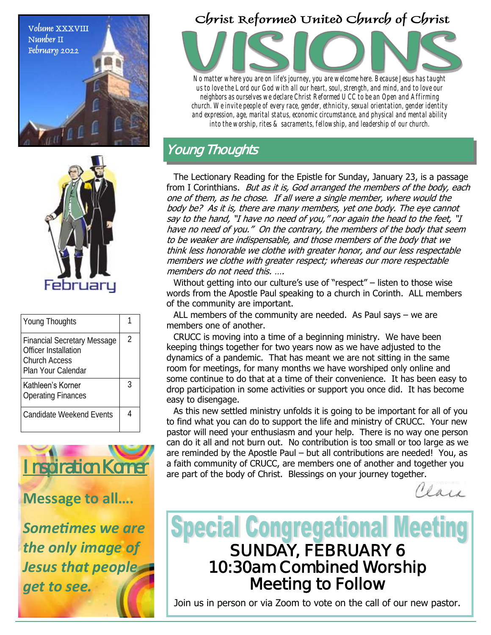



| Young Thoughts                                                                                    |   |
|---------------------------------------------------------------------------------------------------|---|
| <b>Financial Secretary Message</b><br>Officer Installation<br>Church Access<br>Plan Your Calendar | 2 |
| Kathleen's Korner<br><b>Operating Finances</b>                                                    | 3 |
| Candidate Weekend Events                                                                          |   |



**Message to all….**

*Sometimes we are the only image of Jesus that people get to see.*

### Christ Reformed United Church of Christ



*No matter where you are on life's journey, you are welcome here. Because Jesus has taught us to love the Lord our God with all our heart, soul, strength, and mind, and to love our neighbors as ourselves we declare Christ Reformed UCC to be an Open and Affirming church. We invite people of every race, gender, ethnicity, sexual orientation, gender identity and expression, age, marital status, economic circumstance, and physical and mental ability into the worship, rites & sacraments, fellowship, and leadership of our church.*

#### Young Thoughts

The Lectionary Reading for the Epistle for Sunday, January 23, is a passage from I Corinthians. *But as it is, God arranged the members of the body, each* one of them, as he chose. If all were a single member, where would the body be? As it is, there are many members, yet one body. The eye cannot say to the hand, "I have no need of you," nor again the head to the feet, "I have no need of you." On the contrary, the members of the body that seem to be weaker are indispensable, and those members of the body that we think less honorable we clothe with greater honor, and our less respectable members we clothe with greater respect; whereas our more respectable members do not need this. ….

Without getting into our culture's use of "respect" – listen to those wise words from the Apostle Paul speaking to a church in Corinth. ALL members of the community are important.

ALL members of the community are needed. As Paul says – we are members one of another.

CRUCC is moving into a time of a beginning ministry. We have been keeping things together for two years now as we have adjusted to the dynamics of a pandemic. That has meant we are not sitting in the same room for meetings, for many months we have worshiped only online and some continue to do that at a time of their convenience. It has been easy to drop participation in some activities or support you once did. It has become easy to disengage.

As this new settled ministry unfolds it is going to be important for all of you to find what you can do to support the life and ministry of CRUCC. Your new pastor will need your enthusiasm and your help. There is no way one person can do it all and not burn out. No contribution is too small or too large as we are reminded by the Apostle Paul – but all contributions are needed! You, as a faith community of CRUCC, are members one of another and together you are part of the body of Christ. Blessings on your journey together.

Clare

## **Special Congregational Meeting SUNDAY, FEBRUARY 6 10:30am Combined Worship Meeting to Follow**

Join us in person or via Zoom to vote on the call of our new pastor.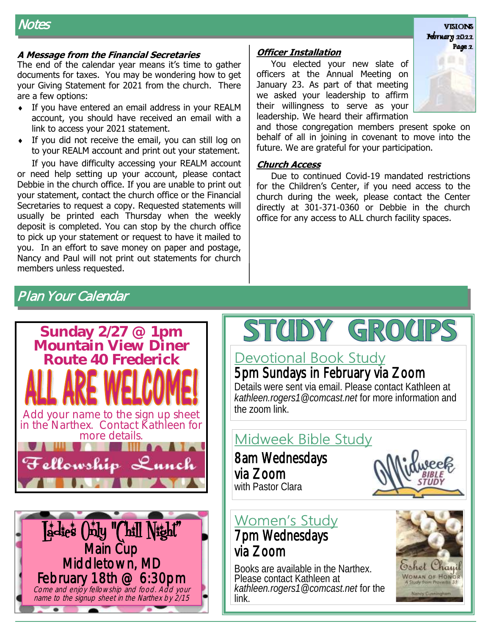#### **A Message from the Financial Secretaries**

The end of the calendar year means it's time to gather documents for taxes. You may be wondering how to get your Giving Statement for 2021 from the church. There are a few options:

- If you have entered an email address in your REALM account, you should have received an email with a link to access your 2021 statement.
- If you did not receive the email, you can still log on to your REALM account and print out your statement.

If you have difficulty accessing your REALM account or need help setting up your account, please contact Debbie in the church office. If you are unable to print out your statement, contact the church office or the Financial Secretaries to request a copy. Requested statements will usually be printed each Thursday when the weekly deposit is completed. You can stop by the church office to pick up your statement or request to have it mailed to you. In an effort to save money on paper and postage, Nancy and Paul will not print out statements for church members unless requested.

#### **Officer Installation**

You elected your new slate of officers at the Annual Meeting on January 23. As part of that meeting we asked your leadership to affirm their willingness to serve as your leadership. We heard their affirmation



and those congregation members present spoke on behalf of all in joining in covenant to move into the future. We are grateful for your participation.

#### **Church Access**

Due to continued Covid-19 mandated restrictions for the Children's Center, if you need access to the church during the week, please contact the Center directly at 301-371-0360 or Debbie in the church office for any access to ALL church facility spaces.

#### Plan Your Calendar



# STUDY GROUPS

### **Devotional Book Study**

## 5pm Sundays in February via Zoom

Details were sent via email. Please contact Kathleen at *kathleen.rogers1@comcast.net* for more information and the zoom link.

#### Midweek Bible Study

8am Wednesdays via Zoom with Pastor Clara

#### Women's Study 7pm Wednesdays via Zoom

Books are available in the Narthex. Please contact Kathleen at *kathleen.rogers1@comcast.net* for the link.



**VISIONS** Tebruary 2022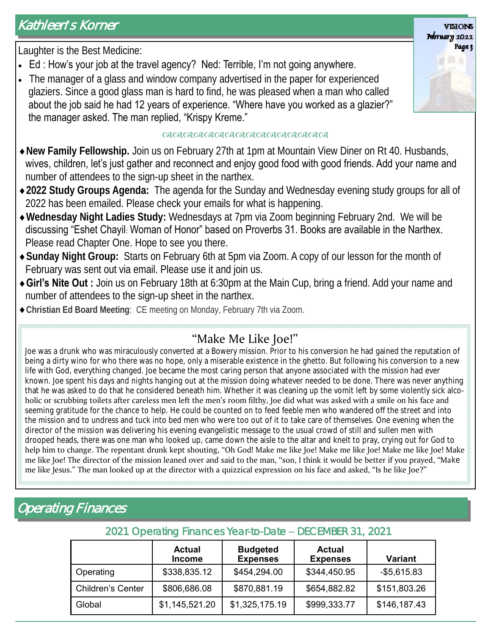Laughter is the Best Medicine:

- Ed : How's your job at the travel agency? Ned: Terrible, I'm not going anywhere.
- The manager of a glass and window company advertised in the paper for experienced glaziers. Since a good glass man is hard to find, he was pleased when a man who called about the job said he had 12 years of experience. "Where have you worked as a glazier?" the manager asked. The man replied, "Krispy Kreme."



#### 

- **New Family Fellowship.** Join us on February 27th at 1pm at Mountain View Diner on Rt 40. Husbands, wives, children, let's just gather and reconnect and enjoy good food with good friends. Add your name and number of attendees to the sign-up sheet in the narthex.
- **2022 Study Groups Agenda:** The agenda for the Sunday and Wednesday evening study groups for all of 2022 has been emailed. Please check your emails for what is happening.
- **Wednesday Night Ladies Study:** Wednesdays at 7pm via Zoom beginning February 2nd. We will be discussing "Eshet Chayil: Woman of Honor" based on Proverbs 31. Books are available in the Narthex. Please read Chapter One. Hope to see you there.
- **Sunday Night Group:** Starts on February 6th at 5pm via Zoom. A copy of our lesson for the month of February was sent out via email. Please use it and join us.
- **Girl's Nite Out :** Join us on February 18th at 6:30pm at the Main Cup, bring a friend. Add your name and number of attendees to the sign-up sheet in the narthex.
- **Christian Ed Board Meeting**: CE meeting on Monday, February 7th via Zoom.

#### "Make Me Like Joe!"

Joe was a drunk who was miraculously converted at a Bowery mission. Prior to his conversion he had gained the reputation of being a dirty wino for who there was no hope, only a miserable existence in the ghetto. But following his conversion to a new life with God, everything changed. Joe became the most caring person that anyone associated with the mission had ever known. Joe spent his days and nights hanging out at the mission doing whatever needed to be done. There was never anything that he was asked to do that he considered beneath him. Whether it was cleaning up the vomit left by some violently sick alcoholic or scrubbing toilets after careless men left the men's room filthy, Joe did what was asked with a smile on his face and seeming gratitude for the chance to help. He could be counted on to feed feeble men who wandered off the street and into the mission and to undress and tuck into bed men who were too out of it to take care of themselves. One evening when the director of the mission was delivering his evening evangelistic message to the usual crowd of still and sullen men with drooped heads, there was one man who looked up, came down the aisle to the altar and knelt to pray, crying out for God to help him to change. The repentant drunk kept shouting, "Oh God! Make me like Joe! Make me like Joe! Make me like Joe! Make me like Joe! The director of the mission leaned over and said to the man, "son, I think it would be better if you prayed, "Make me like Jesus." The man looked up at the director with a quizzical expression on his face and asked, "Is he like Joe?"

## Operating Finances

|                          | <b>Actual</b><br><b>Income</b> | <b>Budgeted</b><br><b>Expenses</b> | <b>Actual</b><br><b>Expenses</b> | <b>Variant</b> |
|--------------------------|--------------------------------|------------------------------------|----------------------------------|----------------|
| Operating                | \$338,835.12                   | \$454,294.00                       | \$344,450.95                     | $-$5,615.83$   |
| <b>Children's Center</b> | \$806,686.08                   | \$870,881.19                       | \$654,882.82                     | \$151,803.26   |
| Global                   | \$1,145,521.20                 | \$1,325,175.19                     | \$999,333.77                     | \$146,187.43   |